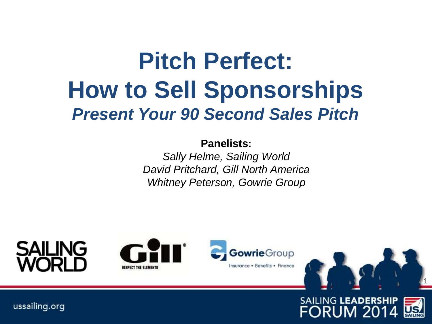### **Pitch Perfect: How to Sell Sponsorships** *Present Your 90 Second Sales Pitch*

#### **Panelists:**

*Sally Helme, Sailing World David Pritchard, Gill North America Whitney Peterson, Gowrie Group* 

# SAILING







**SAILING LEADERSHIP** 

**FORUM 201**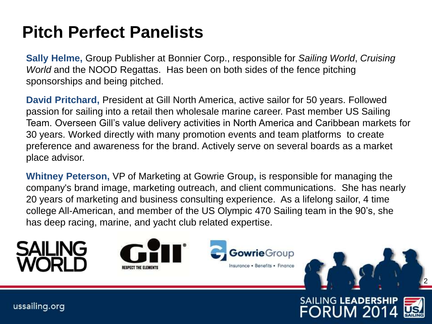### **Pitch Perfect Panelists**

**Sally Helme,** Group Publisher at Bonnier Corp., responsible for *Sailing World*, *Cruising World* and the NOOD Regattas. Has been on both sides of the fence pitching sponsorships and being pitched.

**David Pritchard,** President at Gill North America, active sailor for 50 years. Followed passion for sailing into a retail then wholesale marine career. Past member US Sailing Team. Overseen Gill's value delivery activities in North America and Caribbean markets for 30 years. Worked directly with many promotion events and team platforms to create preference and awareness for the brand. Actively serve on several boards as a market place advisor.

**Whitney Peterson,** VP of Marketing at Gowrie Group**,** is responsible for managing the company's brand image, marketing outreach, and client communications. She has nearly 20 years of marketing and business consulting experience. As a lifelong sailor, 4 time college All-American, and member of the US Olympic 470 Sailing team in the 90's, she has deep racing, marine, and yacht club related expertise.





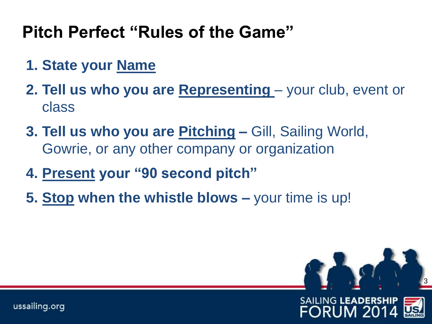### **Pitch Perfect "Rules of the Game"**

- **1. State your Name**
- **2. Tell us who you are Representing** your club, event or class
- **3. Tell us who you are Pitching –** Gill, Sailing World, Gowrie, or any other company or organization
- **4. Present your "90 second pitch"**
- **5. Stop when the whistle blows –** your time is up!

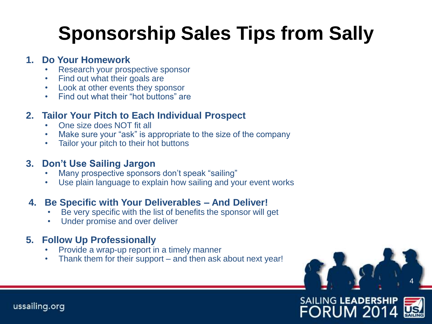### **Sponsorship Sales Tips from Sally**

#### **1. Do Your Homework**

- Research your prospective sponsor
- Find out what their goals are
- Look at other events they sponsor
- Find out what their "hot buttons" are

### **2. Tailor Your Pitch to Each Individual Prospect**

- One size does NOT fit all
- Make sure your "ask" is appropriate to the size of the company
- Tailor your pitch to their hot buttons

#### **3. Don't Use Sailing Jargon**

- Many prospective sponsors don't speak "sailing"
- Use plain language to explain how sailing and your event works

### **4. Be Specific with Your Deliverables – And Deliver!**

- Be very specific with the list of benefits the sponsor will get
- Under promise and over deliver

#### **5. Follow Up Professionally**

- Provide a wrap-up report in a timely manner
- Thank them for their support and then ask about next year!



**FORUM 20**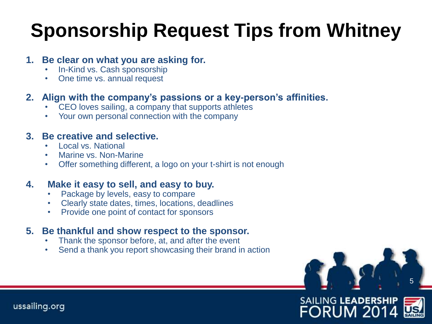### **Sponsorship Request Tips from Whitney**

#### **1. Be clear on what you are asking for.**

- In-Kind vs. Cash sponsorship
- One time vs. annual request

#### **2. Align with the company's passions or a key-person's affinities.**

- CEO loves sailing, a company that supports athletes
- Your own personal connection with the company

#### **3. Be creative and selective.**

- Local vs. National
- Marine vs. Non-Marine
- Offer something different, a logo on your t-shirt is not enough

#### **4. Make it easy to sell, and easy to buy.**

- Package by levels, easy to compare
- Clearly state dates, times, locations, deadlines
- Provide one point of contact for sponsors

#### **5. Be thankful and show respect to the sponsor.**

- Thank the sponsor before, at, and after the event
- Send a thank you report showcasing their brand in action

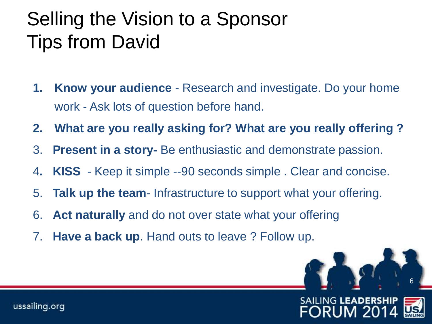### Selling the Vision to a Sponsor Tips from David

- **1. Know your audience** Research and investigate. Do your home work - Ask lots of question before hand.
- **2. What are you really asking for? What are you really offering ?**
- 3. **Present in a story-** Be enthusiastic and demonstrate passion.
- 4**. KISS**  Keep it simple --90 seconds simple . Clear and concise.
- 5. **Talk up the team** Infrastructure to support what your offering.
- 6. **Act naturally** and do not over state what your offering
- 7. **Have a back up**. Hand outs to leave ? Follow up.

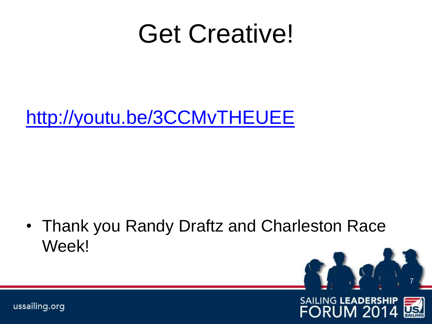## Get Creative!

<http://youtu.be/3CCMvTHEUEE>

• Thank you Randy Draftz and Charleston Race Week!